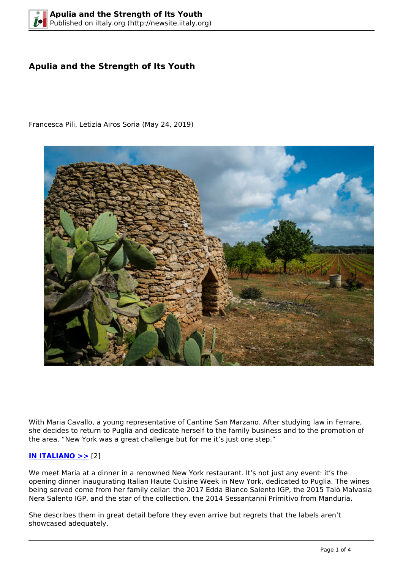# **Apulia and the Strength of Its Youth**



Francesca Pili, Letizia Airos Soria (May 24, 2019)

With Maria Cavallo, a young representative of Cantine San Marzano. After studying law in Ferrare, she decides to return to Puglia and dedicate herself to the family business and to the promotion of the area. "New York was a great challenge but for me it's just one step."

# **[IN ITALIANO >>](http://iitaly.org/node/55273)** [2]

We meet Maria at a dinner in a renowned New York restaurant. It's not just any event: it's the opening dinner inaugurating Italian Haute Cuisine Week in New York, dedicated to Puglia. The wines being served come from her family cellar: the 2017 Edda Bianco Salento IGP, the 2015 Talò Malvasia Nera Salento IGP, and the star of the collection, the 2014 Sessantanni Primitivo from Manduria.

She describes them in great detail before they even arrive but regrets that the labels aren't showcased adequately.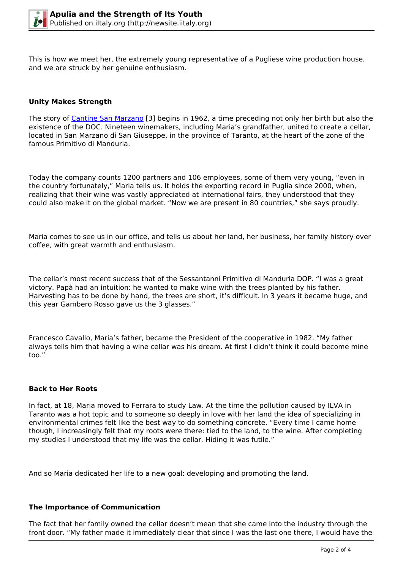This is how we meet her, the extremely young representative of a Pugliese wine production house, and we are struck by her genuine enthusiasm.

## **Unity Makes Strength**

The story of [Cantine San Marzano](http://www.sanmarzanowines.com/en/) [3] begins in 1962, a time preceding not only her birth but also the existence of the DOC. Nineteen winemakers, including Maria's grandfather, united to create a cellar, located in San Marzano di San Giuseppe, in the province of Taranto, at the heart of the zone of the famous Primitivo di Manduria.

Today the company counts 1200 partners and 106 employees, some of them very young, "even in the country fortunately," Maria tells us. It holds the exporting record in Puglia since 2000, when, realizing that their wine was vastly appreciated at international fairs, they understood that they could also make it on the global market. "Now we are present in 80 countries," she says proudly.

Maria comes to see us in our office, and tells us about her land, her business, her family history over coffee, with great warmth and enthusiasm.

The cellar's most recent success that of the Sessantanni Primitivo di Manduria DOP. "I was a great victory. Papà had an intuition: he wanted to make wine with the trees planted by his father. Harvesting has to be done by hand, the trees are short, it's difficult. In 3 years it became huge, and this year Gambero Rosso gave us the 3 glasses."

Francesco Cavallo, Maria's father, became the President of the cooperative in 1982. "My father always tells him that having a wine cellar was his dream. At first I didn't think it could become mine too."

#### **Back to Her Roots**

In fact, at 18, Maria moved to Ferrara to study Law. At the time the pollution caused by ILVA in Taranto was a hot topic and to someone so deeply in love with her land the idea of specializing in environmental crimes felt like the best way to do something concrete. "Every time I came home though, I increasingly felt that my roots were there: tied to the land, to the wine. After completing my studies I understood that my life was the cellar. Hiding it was futile."

And so Maria dedicated her life to a new goal: developing and promoting the land.

#### **The Importance of Communication**

The fact that her family owned the cellar doesn't mean that she came into the industry through the front door. "My father made it immediately clear that since I was the last one there, I would have the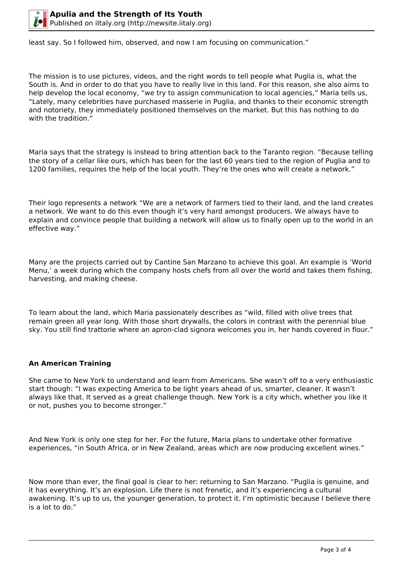

least say. So I followed him, observed, and now I am focusing on communication."

The mission is to use pictures, videos, and the right words to tell people what Puglia is, what the South is. And in order to do that you have to really live in this land. For this reason, she also aims to help develop the local economy, "we try to assign communication to local agencies," Maria tells us, "Lately, many celebrities have purchased masserie in Puglia, and thanks to their economic strength and notoriety, they immediately positioned themselves on the market. But this has nothing to do with the tradition."

Maria says that the strategy is instead to bring attention back to the Taranto region. "Because telling the story of a cellar like ours, which has been for the last 60 years tied to the region of Puglia and to 1200 families, requires the help of the local youth. They're the ones who will create a network."

Their logo represents a network "We are a network of farmers tied to their land, and the land creates a network. We want to do this even though it's very hard amongst producers. We always have to explain and convince people that building a network will allow us to finally open up to the world in an effective way."

Many are the projects carried out by Cantine San Marzano to achieve this goal. An example is 'World Menu,' a week during which the company hosts chefs from all over the world and takes them fishing, harvesting, and making cheese.

To learn about the land, which Maria passionately describes as "wild, filled with olive trees that remain green all year long. With those short drywalls, the colors in contrast with the perennial blue sky. You still find trattorie where an apron-clad signora welcomes you in, her hands covered in flour."

# **An American Training**

She came to New York to understand and learn from Americans. She wasn't off to a very enthusiastic start though: "I was expecting America to be light years ahead of us, smarter, cleaner. It wasn't always like that. It served as a great challenge though. New York is a city which, whether you like it or not, pushes you to become stronger."

And New York is only one step for her. For the future, Maria plans to undertake other formative experiences, "in South Africa, or in New Zealand, areas which are now producing excellent wines."

Now more than ever, the final goal is clear to her: returning to San Marzano. "Puglia is genuine, and it has everything. It's an explosion. Life there is not frenetic, and it's experiencing a cultural awakening. It's up to us, the younger generation, to protect it. I'm optimistic because I believe there is a lot to do."